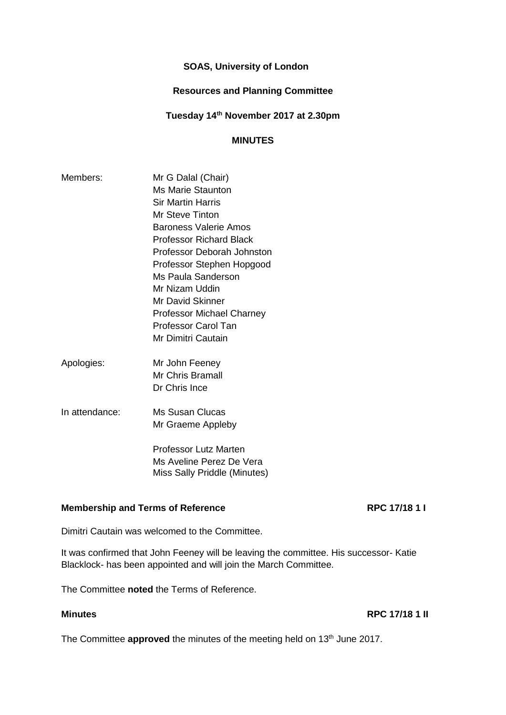# **SOAS, University of London**

# **Resources and Planning Committee**

# **Tuesday 14th November 2017 at 2.30pm**

# **MINUTES**

- Members: Mr G Dalal (Chair) Ms Marie Staunton Sir Martin Harris Mr Steve Tinton Baroness Valerie Amos Professor Richard Black Professor Deborah Johnston Professor Stephen Hopgood Ms Paula Sanderson Mr Nizam Uddin Mr David Skinner Professor Michael Charney Professor Carol Tan Mr Dimitri Cautain
- Apologies: Mr John Feeney Mr Chris Bramall Dr Chris Ince
- In attendance: Ms Susan Clucas Mr Graeme Appleby

Professor Lutz Marten Ms Aveline Perez De Vera Miss Sally Priddle (Minutes)

### **Membership and Terms of Reference RPC 17/18 1 I**

Dimitri Cautain was welcomed to the Committee.

It was confirmed that John Feeney will be leaving the committee. His successor- Katie Blacklock- has been appointed and will join the March Committee.

The Committee **noted** the Terms of Reference.

**Minutes RPC 17/18 1 II**

The Committee **approved** the minutes of the meeting held on 13<sup>th</sup> June 2017.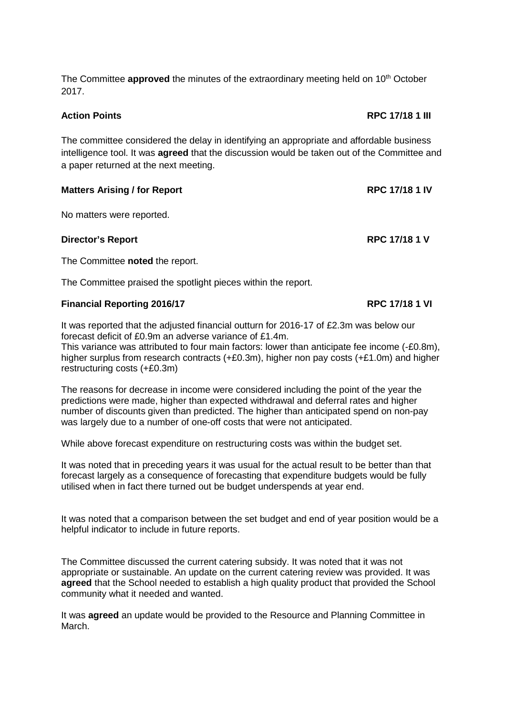The Committee **approved** the minutes of the extraordinary meeting held on 10<sup>th</sup> October 2017.

# **Action Points RPC 17/18 1 III**

The committee considered the delay in identifying an appropriate and affordable business intelligence tool. It was **agreed** that the discussion would be taken out of the Committee and a paper returned at the next meeting.

# **Matters Arising / for Report RPC 17/18 1 IV**

No matters were reported.

# **Director's Report RPC 17/18 1 V**

The Committee **noted** the report.

The Committee praised the spotlight pieces within the report.

# **Financial Reporting 2016/17 RPC 17/18 RPC 17/18 1 VI**

It was reported that the adjusted financial outturn for 2016-17 of £2.3m was below our forecast deficit of £0.9m an adverse variance of £1.4m.

This variance was attributed to four main factors: lower than anticipate fee income (-£0.8m), higher surplus from research contracts (+£0.3m), higher non pay costs (+£1.0m) and higher restructuring costs (+£0.3m)

The reasons for decrease in income were considered including the point of the year the predictions were made, higher than expected withdrawal and deferral rates and higher number of discounts given than predicted. The higher than anticipated spend on non-pay was largely due to a number of one-off costs that were not anticipated.

While above forecast expenditure on restructuring costs was within the budget set.

It was noted that in preceding years it was usual for the actual result to be better than that forecast largely as a consequence of forecasting that expenditure budgets would be fully utilised when in fact there turned out be budget underspends at year end.

It was noted that a comparison between the set budget and end of year position would be a helpful indicator to include in future reports.

The Committee discussed the current catering subsidy. It was noted that it was not appropriate or sustainable. An update on the current catering review was provided. It was **agreed** that the School needed to establish a high quality product that provided the School community what it needed and wanted.

It was **agreed** an update would be provided to the Resource and Planning Committee in March.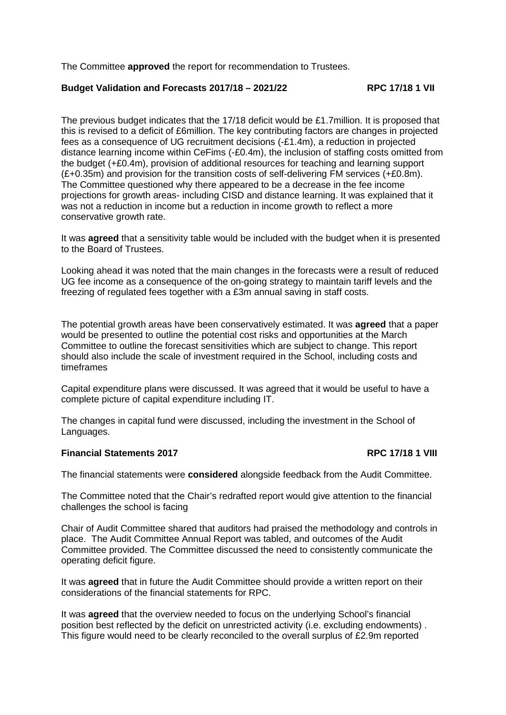The Committee **approved** the report for recommendation to Trustees.

# **Budget Validation and Forecasts 2017/18 – 2021/22 RPC 17/18 1 VII**

The previous budget indicates that the 17/18 deficit would be £1.7million. It is proposed that this is revised to a deficit of £6million. The key contributing factors are changes in projected fees as a consequence of UG recruitment decisions (-£1.4m), a reduction in projected distance learning income within CeFims (-£0.4m), the inclusion of staffing costs omitted from the budget (+£0.4m), provision of additional resources for teaching and learning support (£+0.35m) and provision for the transition costs of self-delivering FM services (+£0.8m). The Committee questioned why there appeared to be a decrease in the fee income projections for growth areas- including CISD and distance learning. It was explained that it was not a reduction in income but a reduction in income growth to reflect a more conservative growth rate.

It was **agreed** that a sensitivity table would be included with the budget when it is presented to the Board of Trustees.

Looking ahead it was noted that the main changes in the forecasts were a result of reduced UG fee income as a consequence of the on-going strategy to maintain tariff levels and the freezing of regulated fees together with a £3m annual saving in staff costs.

The potential growth areas have been conservatively estimated. It was **agreed** that a paper would be presented to outline the potential cost risks and opportunities at the March Committee to outline the forecast sensitivities which are subject to change. This report should also include the scale of investment required in the School, including costs and timeframes

Capital expenditure plans were discussed. It was agreed that it would be useful to have a complete picture of capital expenditure including IT.

The changes in capital fund were discussed, including the investment in the School of Languages.

### **Financial Statements 2017 RPC 17/18 1 VIII**

The financial statements were **considered** alongside feedback from the Audit Committee.

The Committee noted that the Chair's redrafted report would give attention to the financial challenges the school is facing

Chair of Audit Committee shared that auditors had praised the methodology and controls in place. The Audit Committee Annual Report was tabled, and outcomes of the Audit Committee provided. The Committee discussed the need to consistently communicate the operating deficit figure.

It was **agreed** that in future the Audit Committee should provide a written report on their considerations of the financial statements for RPC.

It was **agreed** that the overview needed to focus on the underlying School's financial position best reflected by the deficit on unrestricted activity (i.e. excluding endowments) . This figure would need to be clearly reconciled to the overall surplus of £2.9m reported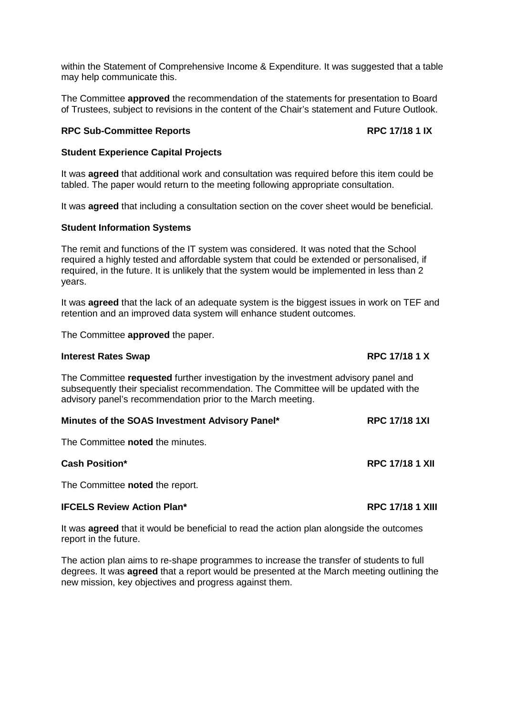within the Statement of Comprehensive Income & Expenditure. It was suggested that a table may help communicate this.

The Committee **approved** the recommendation of the statements for presentation to Board of Trustees, subject to revisions in the content of the Chair's statement and Future Outlook.

### **RPC Sub-Committee Reports RPC 17/18 1 IX**

### **Student Experience Capital Projects**

It was **agreed** that additional work and consultation was required before this item could be tabled. The paper would return to the meeting following appropriate consultation.

It was **agreed** that including a consultation section on the cover sheet would be beneficial.

### **Student Information Systems**

The remit and functions of the IT system was considered. It was noted that the School required a highly tested and affordable system that could be extended or personalised, if required, in the future. It is unlikely that the system would be implemented in less than 2 years.

It was **agreed** that the lack of an adequate system is the biggest issues in work on TEF and retention and an improved data system will enhance student outcomes.

The Committee **approved** the paper.

### **Interest Rates Swap RPC** 17/18 1 X

The Committee **requested** further investigation by the investment advisory panel and subsequently their specialist recommendation. The Committee will be updated with the advisory panel's recommendation prior to the March meeting.

### **Minutes of the SOAS Investment Advisory Panel\* RPC 17/18 1XI**

The Committee **noted** the minutes.

### **Cash Position\* RPC 17/18 1 XII**

The Committee **noted** the report.

# **IFCELS Review Action Plan\* RPC 17/18 1 XIII**

It was **agreed** that it would be beneficial to read the action plan alongside the outcomes report in the future.

The action plan aims to re-shape programmes to increase the transfer of students to full degrees. It was **agreed** that a report would be presented at the March meeting outlining the new mission, key objectives and progress against them.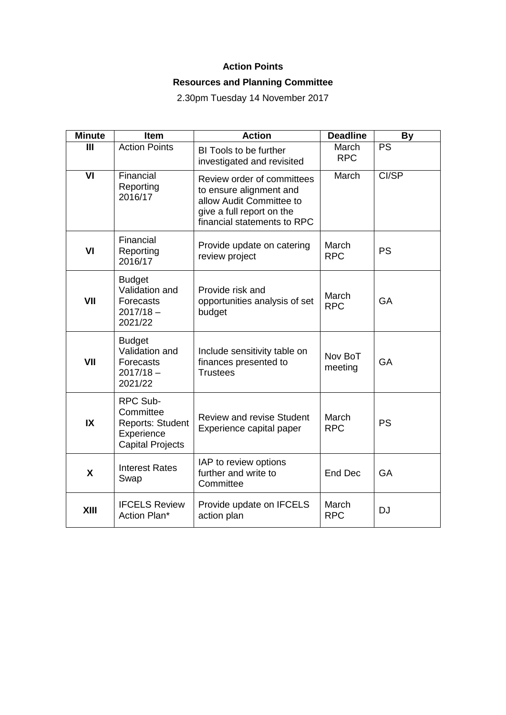# **Action Points**

# **Resources and Planning Committee**

2.30pm Tuesday 14 November 2017

| <b>Minute</b> | <b>Item</b>                                                                               | <b>Action</b>                                                                                                                                 | <b>Deadline</b>     | By        |
|---------------|-------------------------------------------------------------------------------------------|-----------------------------------------------------------------------------------------------------------------------------------------------|---------------------|-----------|
| Ш             | <b>Action Points</b>                                                                      | BI Tools to be further<br>investigated and revisited                                                                                          | March<br><b>RPC</b> | <b>PS</b> |
| VI            | Financial<br>Reporting<br>2016/17                                                         | Review order of committees<br>to ensure alignment and<br>allow Audit Committee to<br>give a full report on the<br>financial statements to RPC | March               | CI/SP     |
| VI            | Financial<br>Reporting<br>2016/17                                                         | Provide update on catering<br>review project                                                                                                  | March<br><b>RPC</b> | <b>PS</b> |
| VII           | <b>Budget</b><br>Validation and<br>Forecasts<br>$2017/18 -$<br>2021/22                    | Provide risk and<br>opportunities analysis of set<br>budget                                                                                   | March<br><b>RPC</b> | <b>GA</b> |
| VII           | <b>Budget</b><br>Validation and<br>Forecasts<br>$2017/18 -$<br>2021/22                    | Include sensitivity table on<br>finances presented to<br><b>Trustees</b>                                                                      | Nov BoT<br>meeting  | <b>GA</b> |
| IX            | RPC Sub-<br>Committee<br><b>Reports: Student</b><br>Experience<br><b>Capital Projects</b> | <b>Review and revise Student</b><br>Experience capital paper                                                                                  | March<br><b>RPC</b> | <b>PS</b> |
| X             | <b>Interest Rates</b><br>Swap                                                             | IAP to review options<br>further and write to<br>Committee                                                                                    | End Dec             | <b>GA</b> |
| XIII          | <b>IFCELS Review</b><br>Action Plan*                                                      | Provide update on IFCELS<br>action plan                                                                                                       | March<br><b>RPC</b> | <b>DJ</b> |